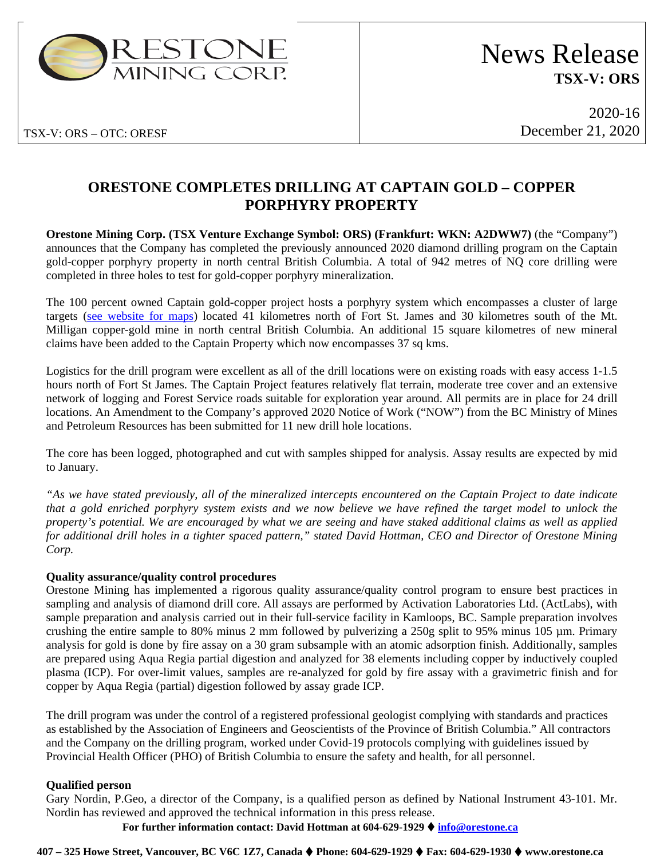

TSX-V: ORS – OTC: ORESF

2020-16 December 21, 2020

# **ORESTONE COMPLETES DRILLING AT CAPTAIN GOLD – COPPER PORPHYRY PROPERTY**

**Orestone Mining Corp. (TSX Venture Exchange Symbol: ORS) (Frankfurt: WKN: A2DWW7)** (the "Company") announces that the Company has completed the previously announced 2020 diamond drilling program on the Captain gold-copper porphyry property in north central British Columbia. A total of 942 metres of NQ core drilling were completed in three holes to test for gold-copper porphyry mineralization.

The 100 percent owned Captain gold-copper project hosts a porphyry system which encompasses a cluster of large targets [\(see website for maps\)](https://www.orestone.ca/projects/captain-property/) located 41 kilometres north of Fort St. James and 30 kilometres south of the Mt. Milligan copper-gold mine in north central British Columbia. An additional 15 square kilometres of new mineral claims have been added to the Captain Property which now encompasses 37 sq kms.

Logistics for the drill program were excellent as all of the drill locations were on existing roads with easy access 1-1.5 hours north of Fort St James. The Captain Project features relatively flat terrain, moderate tree cover and an extensive network of logging and Forest Service roads suitable for exploration year around. All permits are in place for 24 drill locations. An Amendment to the Company's approved 2020 Notice of Work ("NOW") from the BC Ministry of Mines and Petroleum Resources has been submitted for 11 new drill hole locations.

The core has been logged, photographed and cut with samples shipped for analysis. Assay results are expected by mid to January.

*"As we have stated previously, all of the mineralized intercepts encountered on the Captain Project to date indicate that a gold enriched porphyry system exists and we now believe we have refined the target model to unlock the property's potential. We are encouraged by what we are seeing and have staked additional claims as well as applied for additional drill holes in a tighter spaced pattern," stated David Hottman, CEO and Director of Orestone Mining Corp.*

## **Quality assurance/quality control procedures**

Orestone Mining has implemented a rigorous quality assurance/quality control program to ensure best practices in sampling and analysis of diamond drill core. All assays are performed by Activation Laboratories Ltd. (ActLabs), with sample preparation and analysis carried out in their full-service facility in Kamloops, BC. Sample preparation involves crushing the entire sample to 80% minus 2 mm followed by pulverizing a 250g split to 95% minus 105 µm. Primary analysis for gold is done by fire assay on a 30 gram subsample with an atomic adsorption finish. Additionally, samples are prepared using Aqua Regia partial digestion and analyzed for 38 elements including copper by inductively coupled plasma (ICP). For over-limit values, samples are re-analyzed for gold by fire assay with a gravimetric finish and for copper by Aqua Regia (partial) digestion followed by assay grade ICP.

The drill program was under the control of a registered professional geologist complying with standards and practices as established by the Association of Engineers and Geoscientists of the Province of British Columbia." All contractors and the Company on the drilling program, worked under Covid-19 protocols complying with guidelines issued by Provincial Health Officer (PHO) of British Columbia to ensure the safety and health, for all personnel.

## **Qualified person**

Gary Nordin, P.Geo, a director of the Company, is a qualified person as defined by National Instrument 43-101. Mr. Nordin has reviewed and approved the technical information in this press release.

**For further information contact: David Hottman at 604-629-1929 [info@orestone.ca](mailto:info@orestone.ca)**

### **407 – 325 Howe Street, Vancouver, BC V6C 1Z7, Canada Phone: 604-629-1929 Fax: 604-629-1930 www.orestone.ca**